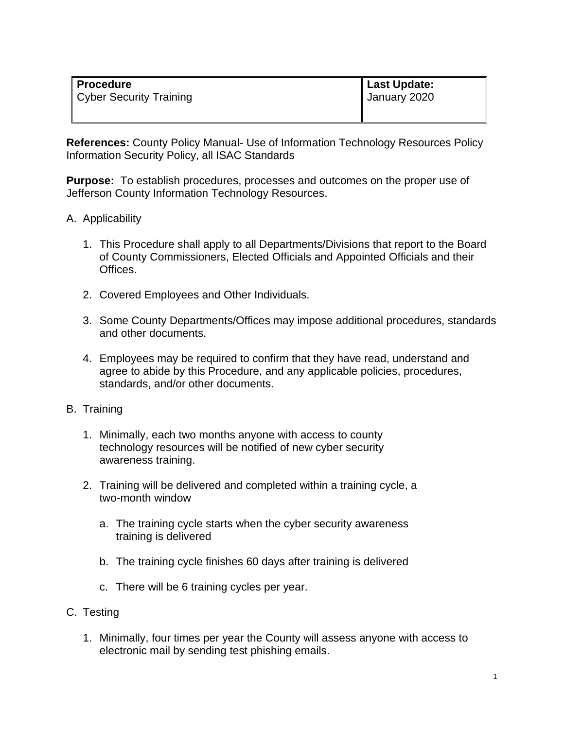| ∥ Procedure               | ∥ Last Update: |
|---------------------------|----------------|
| ∥ Cyber Security Training | January 2020   |
|                           |                |

**References:** County Policy Manual- Use of Information Technology Resources Policy Information Security Policy, all ISAC Standards

**Purpose:** To establish procedures, processes and outcomes on the proper use of Jefferson County Information Technology Resources.

## A. Applicability

- 1. This Procedure shall apply to all Departments/Divisions that report to the Board of County Commissioners, Elected Officials and Appointed Officials and their Offices.
- 2. Covered Employees and Other Individuals.
- 3. Some County Departments/Offices may impose additional procedures, standards and other documents.
- 4. Employees may be required to confirm that they have read, understand and agree to abide by this Procedure, and any applicable policies, procedures, standards, and/or other documents.
- B. Training
	- 1. Minimally, each two months anyone with access to county technology resources will be notified of new cyber security awareness training.
	- 2. Training will be delivered and completed within a training cycle, a two-month window
		- a. The training cycle starts when the cyber security awareness training is delivered
		- b. The training cycle finishes 60 days after training is delivered
		- c. There will be 6 training cycles per year.
- C. Testing
	- 1. Minimally, four times per year the County will assess anyone with access to electronic mail by sending test phishing emails.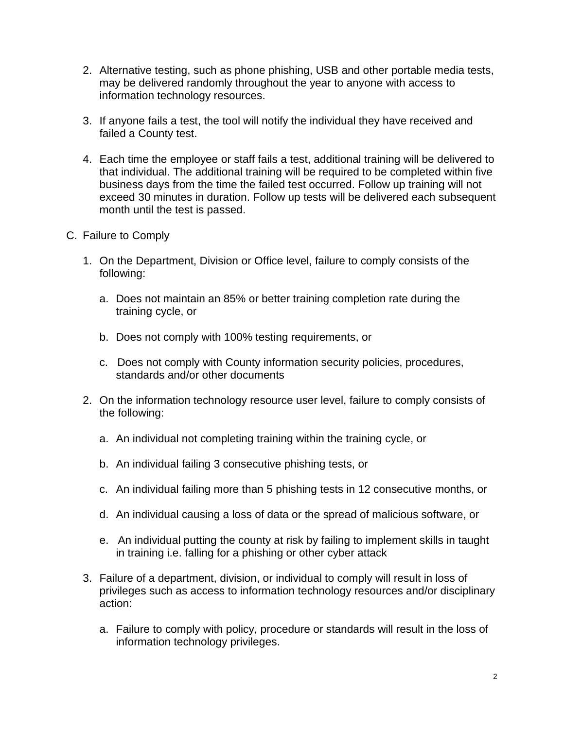- 2. Alternative testing, such as phone phishing, USB and other portable media tests, may be delivered randomly throughout the year to anyone with access to information technology resources.
- 3. If anyone fails a test, the tool will notify the individual they have received and failed a County test.
- 4. Each time the employee or staff fails a test, additional training will be delivered to that individual. The additional training will be required to be completed within five business days from the time the failed test occurred. Follow up training will not exceed 30 minutes in duration. Follow up tests will be delivered each subsequent month until the test is passed.
- C. Failure to Comply
	- 1. On the Department, Division or Office level, failure to comply consists of the following:
		- a. Does not maintain an 85% or better training completion rate during the training cycle, or
		- b. Does not comply with 100% testing requirements, or
		- c. Does not comply with County information security policies, procedures, standards and/or other documents
	- 2. On the information technology resource user level, failure to comply consists of the following:
		- a. An individual not completing training within the training cycle, or
		- b. An individual failing 3 consecutive phishing tests, or
		- c. An individual failing more than 5 phishing tests in 12 consecutive months, or
		- d. An individual causing a loss of data or the spread of malicious software, or
		- e. An individual putting the county at risk by failing to implement skills in taught in training i.e. falling for a phishing or other cyber attack
	- 3. Failure of a department, division, or individual to comply will result in loss of privileges such as access to information technology resources and/or disciplinary action:
		- a. Failure to comply with policy, procedure or standards will result in the loss of information technology privileges.